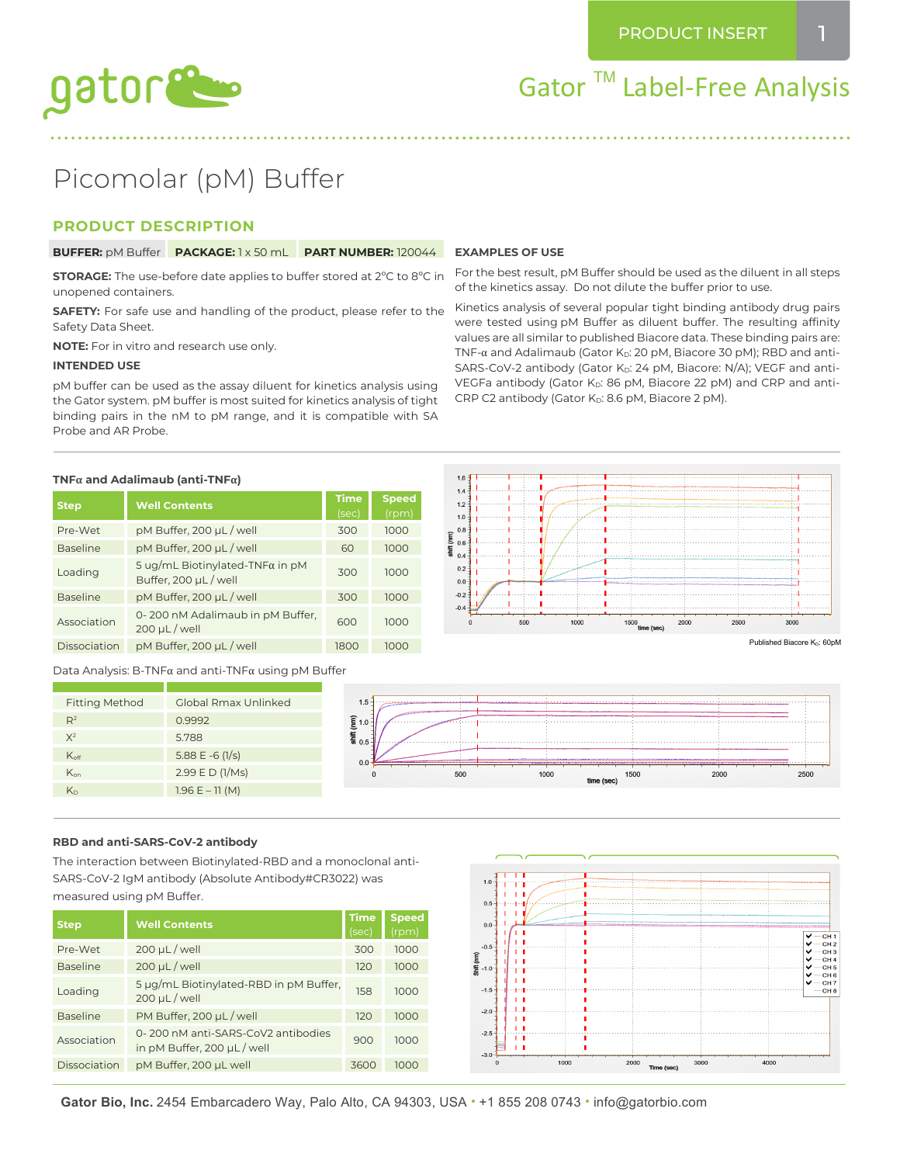

Gator ™ Label-Free Analysis

# Picomolar (pM) Buffer

# **PRODUCT DESCRIPTION**

**BUFFER:** pM Buffer **PACKAGE:** 1 x 50 mL **PART NUMBER:** 120044

**STORAGE:** The use-before date applies to buffer stored at 2ºC to 8ºC in unopened containers.

**SAFETY:** For safe use and handling of the product, please refer to the Safety Data Sheet.

**NOTE:** For in vitro and research use only.

#### **INTENDED USE**

pM buffer can be used as the assay diluent for kinetics analysis using the Gator system. pM buffer is most suited for kinetics analysis of tight binding pairs in the nM to pM range, and it is compatible with SA Probe and AR Probe.

#### **EXAMPLES OF USE**

For the best result, pM Buffer should be used as the diluent in all steps of the kinetics assay. Do not dilute the buffer prior to use.

Kinetics analysis of several popular tight binding antibody drug pairs were tested using pM Buffer as diluent buffer. The resulting affinity values are all similar to published Biacore data. These binding pairs are: TNF- $\alpha$  and Adalimaub (Gator K<sub>D</sub>: 20 pM, Biacore 30 pM); RBD and anti-SARS-CoV-2 antibody (Gator KD: 24 pM, Biacore: N/A); VEGF and anti-VEGFa antibody (Gator K<sub>D</sub>: 86 pM, Biacore 22 pM) and CRP and anti-CRP C2 antibody (Gator  $K_D$ : 8.6 pM, Biacore 2 pM).

#### **TNFα and Adalimaub (anti-TNFα)**

| <b>Step</b>     | <b>Well Contents</b>                                             | <b>Time</b><br>(sec) | <b>Speed</b><br>(rpm) |
|-----------------|------------------------------------------------------------------|----------------------|-----------------------|
| Pre-Wet         | pM Buffer, 200 µL / well                                         | 300                  | 1000                  |
| <b>Baseline</b> | pM Buffer, 200 µL / well                                         | 60                   | 1000                  |
| Loading         | 5 ug/mL Biotinylated-TNF $\alpha$ in pM<br>Buffer, 200 µL / well | 300                  | 1000                  |
| <b>Baseline</b> | pM Buffer, 200 µL / well                                         | 300                  | 1000                  |
| Association     | 0-200 nM Adalimaub in pM Buffer,<br>$200 \mu L$ / well           | 600                  | 1000                  |
| Dissociation    | pM Buffer, 200 µL / well                                         | 1800                 | 1000                  |

Data Analysis: B-TNFα and anti-TNFα using pM Buffer



#### **RBD and anti-SARS-CoV-2 antibody**

The interaction between Biotinylated-RBD and a monoclonal anti-SARS-CoV-2 IgM antibody (Absolute Antibody#CR3022) was measured using pM Buffer.

| <b>Step</b>     | <b>Well Contents</b>                                            | <b>Time</b><br>(sec) | <b>Speed</b><br>(rpm) |
|-----------------|-----------------------------------------------------------------|----------------------|-----------------------|
| Pre-Wet         | $200 \mu L$ / well                                              | 300                  | 1000                  |
| <b>Baseline</b> | $200 \mu L$ / well                                              | 120                  | 1000                  |
| Loading         | 5 µg/mL Biotinylated-RBD in pM Buffer,<br>$200 \mu L$ / well    | 158                  | 1000                  |
| <b>Baseline</b> | PM Buffer, 200 µL / well                                        | 120                  | 1000                  |
| Association     | 0-200 nM anti-SARS-CoV2 antibodies<br>in pM Buffer, 200 µL/well | 900                  | 1000                  |
| Dissociation    | pM Buffer, 200 µL well                                          | 3600                 | 1000                  |



**Gator Bio, Inc.** 2454 Embarcadero Way, Palo Alto, CA 94303, USA • +1 855 208 0743 • info@gatorbio.com